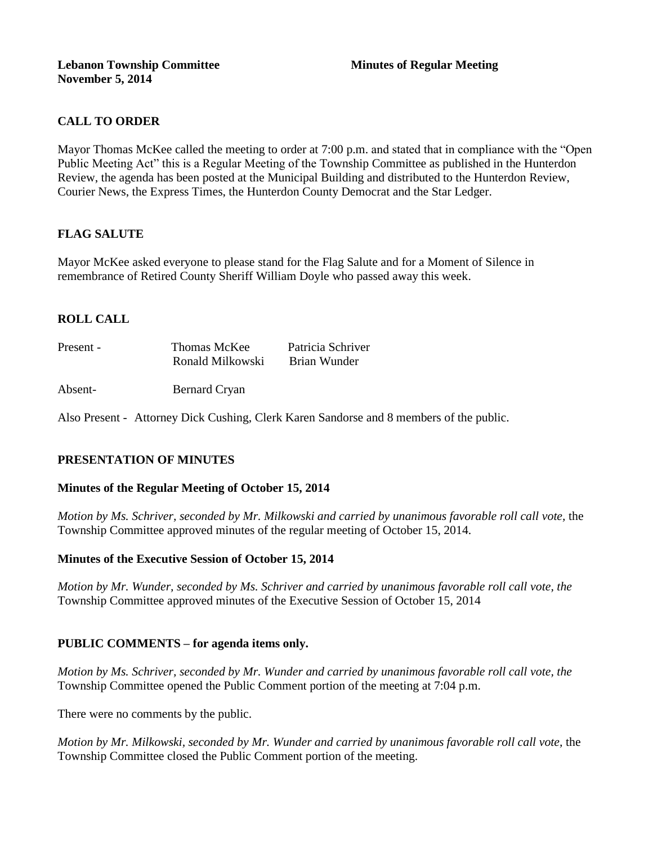## **Lebanon Township Committee Minutes of Regular Meeting November 5, 2014**

# **CALL TO ORDER**

Mayor Thomas McKee called the meeting to order at 7:00 p.m. and stated that in compliance with the "Open Public Meeting Act" this is a Regular Meeting of the Township Committee as published in the Hunterdon Review, the agenda has been posted at the Municipal Building and distributed to the Hunterdon Review, Courier News, the Express Times, the Hunterdon County Democrat and the Star Ledger.

# **FLAG SALUTE**

Mayor McKee asked everyone to please stand for the Flag Salute and for a Moment of Silence in remembrance of Retired County Sheriff William Doyle who passed away this week.

# **ROLL CALL**

| Present - | Thomas McKee     | Patricia Schriver |
|-----------|------------------|-------------------|
|           | Ronald Milkowski | Brian Wunder      |

Absent- Bernard Cryan

Also Present - Attorney Dick Cushing, Clerk Karen Sandorse and 8 members of the public.

# **PRESENTATION OF MINUTES**

### **Minutes of the Regular Meeting of October 15, 2014**

*Motion by Ms. Schriver, seconded by Mr. Milkowski and carried by unanimous favorable roll call vote,* the Township Committee approved minutes of the regular meeting of October 15, 2014.

### **Minutes of the Executive Session of October 15, 2014**

*Motion by Mr. Wunder, seconded by Ms. Schriver and carried by unanimous favorable roll call vote, the*  Township Committee approved minutes of the Executive Session of October 15, 2014

# **PUBLIC COMMENTS – for agenda items only.**

*Motion by Ms. Schriver, seconded by Mr. Wunder and carried by unanimous favorable roll call vote, the* Township Committee opened the Public Comment portion of the meeting at 7:04 p.m.

There were no comments by the public.

*Motion by Mr. Milkowski, seconded by Mr. Wunder and carried by unanimous favorable roll call vote,* the Township Committee closed the Public Comment portion of the meeting.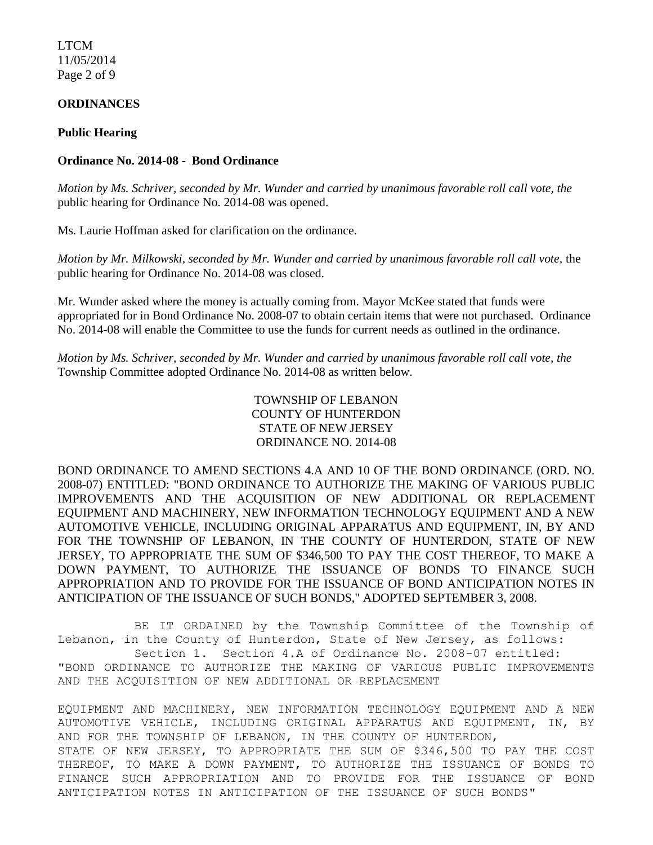LTCM 11/05/2014 Page 2 of 9

# **ORDINANCES**

### **Public Hearing**

## **Ordinance No. 2014-08 - Bond Ordinance**

*Motion by Ms. Schriver, seconded by Mr. Wunder and carried by unanimous favorable roll call vote, the* public hearing for Ordinance No. 2014-08 was opened.

Ms. Laurie Hoffman asked for clarification on the ordinance.

*Motion by Mr. Milkowski, seconded by Mr. Wunder and carried by unanimous favorable roll call vote,* the public hearing for Ordinance No. 2014-08 was closed.

Mr. Wunder asked where the money is actually coming from. Mayor McKee stated that funds were appropriated for in Bond Ordinance No. 2008-07 to obtain certain items that were not purchased. Ordinance No. 2014-08 will enable the Committee to use the funds for current needs as outlined in the ordinance.

*Motion by Ms. Schriver, seconded by Mr. Wunder and carried by unanimous favorable roll call vote, the* Township Committee adopted Ordinance No. 2014-08 as written below.

> TOWNSHIP OF LEBANON COUNTY OF HUNTERDON STATE OF NEW JERSEY ORDINANCE NO. 2014-08

BOND ORDINANCE TO AMEND SECTIONS 4.A AND 10 OF THE BOND ORDINANCE (ORD. NO. 2008-07) ENTITLED: "BOND ORDINANCE TO AUTHORIZE THE MAKING OF VARIOUS PUBLIC IMPROVEMENTS AND THE ACQUISITION OF NEW ADDITIONAL OR REPLACEMENT EQUIPMENT AND MACHINERY, NEW INFORMATION TECHNOLOGY EQUIPMENT AND A NEW AUTOMOTIVE VEHICLE, INCLUDING ORIGINAL APPARATUS AND EQUIPMENT, IN, BY AND FOR THE TOWNSHIP OF LEBANON, IN THE COUNTY OF HUNTERDON, STATE OF NEW JERSEY, TO APPROPRIATE THE SUM OF \$346,500 TO PAY THE COST THEREOF, TO MAKE A DOWN PAYMENT, TO AUTHORIZE THE ISSUANCE OF BONDS TO FINANCE SUCH APPROPRIATION AND TO PROVIDE FOR THE ISSUANCE OF BOND ANTICIPATION NOTES IN ANTICIPATION OF THE ISSUANCE OF SUCH BONDS," ADOPTED SEPTEMBER 3, 2008.

BE IT ORDAINED by the Township Committee of the Township of Lebanon, in the County of Hunterdon, State of New Jersey, as follows: Section 1. Section 4.A of Ordinance No. 2008-07 entitled: "BOND ORDINANCE TO AUTHORIZE THE MAKING OF VARIOUS PUBLIC IMPROVEMENTS AND THE ACQUISITION OF NEW ADDITIONAL OR REPLACEMENT

EQUIPMENT AND MACHINERY, NEW INFORMATION TECHNOLOGY EQUIPMENT AND A NEW AUTOMOTIVE VEHICLE, INCLUDING ORIGINAL APPARATUS AND EQUIPMENT, IN, BY AND FOR THE TOWNSHIP OF LEBANON, IN THE COUNTY OF HUNTERDON, STATE OF NEW JERSEY, TO APPROPRIATE THE SUM OF \$346,500 TO PAY THE COST THEREOF, TO MAKE A DOWN PAYMENT, TO AUTHORIZE THE ISSUANCE OF BONDS TO FINANCE SUCH APPROPRIATION AND TO PROVIDE FOR THE ISSUANCE OF BOND ANTICIPATION NOTES IN ANTICIPATION OF THE ISSUANCE OF SUCH BONDS"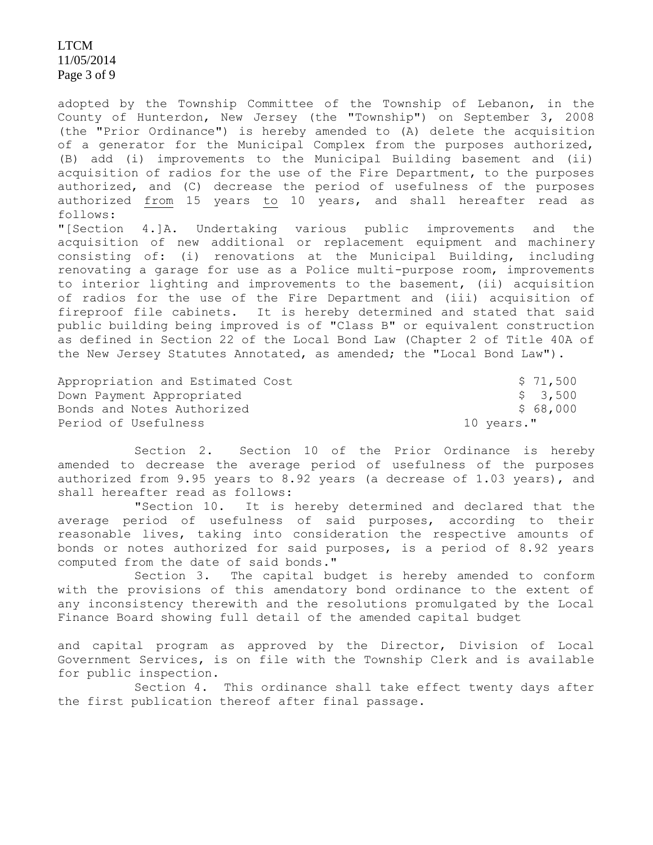LTCM 11/05/2014 Page 3 of 9

adopted by the Township Committee of the Township of Lebanon, in the County of Hunterdon, New Jersey (the "Township") on September 3, 2008 (the "Prior Ordinance") is hereby amended to (A) delete the acquisition of a generator for the Municipal Complex from the purposes authorized, (B) add (i) improvements to the Municipal Building basement and (ii) acquisition of radios for the use of the Fire Department, to the purposes authorized, and (C) decrease the period of usefulness of the purposes authorized from 15 years to 10 years, and shall hereafter read as follows:

"[Section 4.]A. Undertaking various public improvements and the acquisition of new additional or replacement equipment and machinery consisting of: (i) renovations at the Municipal Building, including renovating a garage for use as a Police multi-purpose room, improvements to interior lighting and improvements to the basement, (ii) acquisition of radios for the use of the Fire Department and (iii) acquisition of fireproof file cabinets. It is hereby determined and stated that said public building being improved is of "Class B" or equivalent construction as defined in Section 22 of the Local Bond Law (Chapter 2 of Title 40A of the New Jersey Statutes Annotated, as amended; the "Local Bond Law").

| Appropriation and Estimated Cost | \$71,500   |
|----------------------------------|------------|
| Down Payment Appropriated        | \$ 3,500   |
| Bonds and Notes Authorized       | \$ 68,000  |
| Period of Usefulness             | 10 years." |

Section 2. Section 10 of the Prior Ordinance is hereby amended to decrease the average period of usefulness of the purposes authorized from 9.95 years to 8.92 years (a decrease of 1.03 years), and shall hereafter read as follows:

"Section 10. It is hereby determined and declared that the average period of usefulness of said purposes, according to their reasonable lives, taking into consideration the respective amounts of bonds or notes authorized for said purposes, is a period of 8.92 years computed from the date of said bonds."

Section 3. The capital budget is hereby amended to conform with the provisions of this amendatory bond ordinance to the extent of any inconsistency therewith and the resolutions promulgated by the Local Finance Board showing full detail of the amended capital budget

and capital program as approved by the Director, Division of Local Government Services, is on file with the Township Clerk and is available for public inspection.

Section 4. This ordinance shall take effect twenty days after the first publication thereof after final passage.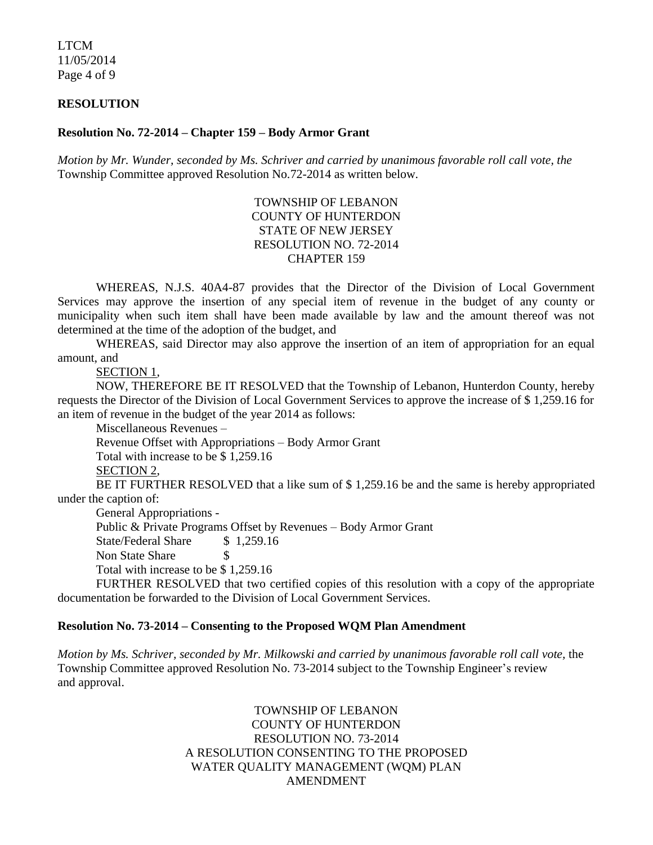LTCM 11/05/2014 Page 4 of 9

#### **RESOLUTION**

### **Resolution No. 72-2014 – Chapter 159 – Body Armor Grant**

*Motion by Mr. Wunder, seconded by Ms. Schriver and carried by unanimous favorable roll call vote, the* Township Committee approved Resolution No.72-2014 as written below.

# TOWNSHIP OF LEBANON COUNTY OF HUNTERDON STATE OF NEW JERSEY RESOLUTION NO. 72-2014 CHAPTER 159

WHEREAS, N.J.S. 40A4-87 provides that the Director of the Division of Local Government Services may approve the insertion of any special item of revenue in the budget of any county or municipality when such item shall have been made available by law and the amount thereof was not determined at the time of the adoption of the budget, and

WHEREAS, said Director may also approve the insertion of an item of appropriation for an equal amount, and

SECTION 1,

NOW, THEREFORE BE IT RESOLVED that the Township of Lebanon, Hunterdon County, hereby requests the Director of the Division of Local Government Services to approve the increase of \$ 1,259.16 for an item of revenue in the budget of the year 2014 as follows:

Miscellaneous Revenues –

Revenue Offset with Appropriations – Body Armor Grant

Total with increase to be \$ 1,259.16

SECTION 2,

BE IT FURTHER RESOLVED that a like sum of \$1,259.16 be and the same is hereby appropriated under the caption of:

General Appropriations -

Public & Private Programs Offset by Revenues – Body Armor Grant

State/Federal Share \$ 1,259.16

Non State Share \$

Total with increase to be \$ 1,259.16

FURTHER RESOLVED that two certified copies of this resolution with a copy of the appropriate documentation be forwarded to the Division of Local Government Services.

#### **Resolution No. 73-2014 – Consenting to the Proposed WQM Plan Amendment**

*Motion by Ms. Schriver, seconded by Mr. Milkowski and carried by unanimous favorable roll call vote,* the Township Committee approved Resolution No. 73-2014 subject to the Township Engineer's review and approval.

> TOWNSHIP OF LEBANON COUNTY OF HUNTERDON RESOLUTION NO. 73-2014 A RESOLUTION CONSENTING TO THE PROPOSED WATER QUALITY MANAGEMENT (WQM) PLAN AMENDMENT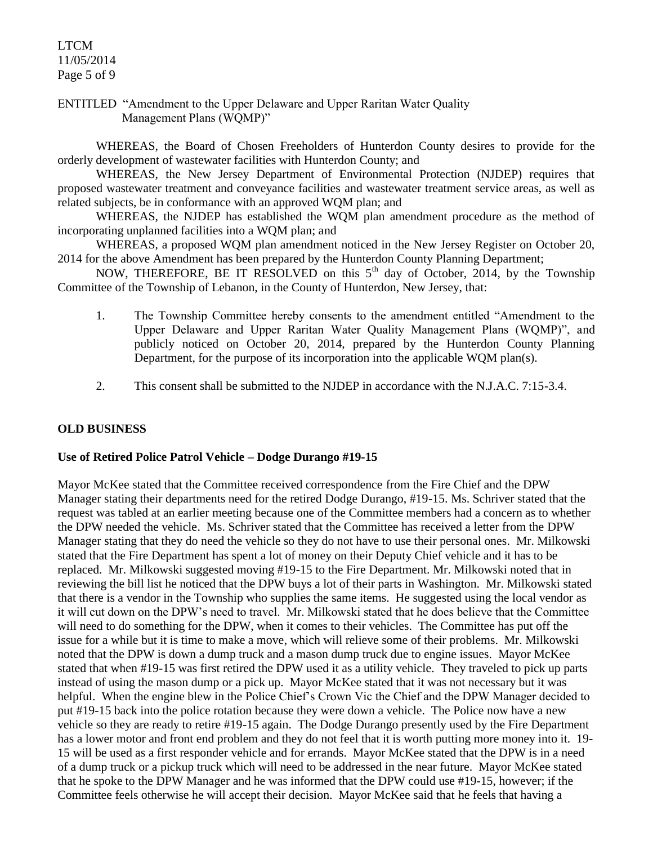# LTCM 11/05/2014 Page 5 of 9

ENTITLED "Amendment to the Upper Delaware and Upper Raritan Water Quality Management Plans (WQMP)"

WHEREAS, the Board of Chosen Freeholders of Hunterdon County desires to provide for the orderly development of wastewater facilities with Hunterdon County; and

WHEREAS, the New Jersey Department of Environmental Protection (NJDEP) requires that proposed wastewater treatment and conveyance facilities and wastewater treatment service areas, as well as related subjects, be in conformance with an approved WQM plan; and

WHEREAS, the NJDEP has established the WQM plan amendment procedure as the method of incorporating unplanned facilities into a WQM plan; and

WHEREAS, a proposed WOM plan amendment noticed in the New Jersey Register on October 20, 2014 for the above Amendment has been prepared by the Hunterdon County Planning Department;

NOW, THEREFORE, BE IT RESOLVED on this  $5<sup>th</sup>$  day of October, 2014, by the Township Committee of the Township of Lebanon, in the County of Hunterdon, New Jersey, that:

- 1. The Township Committee hereby consents to the amendment entitled "Amendment to the Upper Delaware and Upper Raritan Water Quality Management Plans (WQMP)", and publicly noticed on October 20, 2014, prepared by the Hunterdon County Planning Department, for the purpose of its incorporation into the applicable WQM plan(s).
- 2. This consent shall be submitted to the NJDEP in accordance with the N.J.A.C. 7:15-3.4.

# **OLD BUSINESS**

### **Use of Retired Police Patrol Vehicle – Dodge Durango #19-15**

Mayor McKee stated that the Committee received correspondence from the Fire Chief and the DPW Manager stating their departments need for the retired Dodge Durango, #19-15. Ms. Schriver stated that the request was tabled at an earlier meeting because one of the Committee members had a concern as to whether the DPW needed the vehicle. Ms. Schriver stated that the Committee has received a letter from the DPW Manager stating that they do need the vehicle so they do not have to use their personal ones. Mr. Milkowski stated that the Fire Department has spent a lot of money on their Deputy Chief vehicle and it has to be replaced. Mr. Milkowski suggested moving #19-15 to the Fire Department. Mr. Milkowski noted that in reviewing the bill list he noticed that the DPW buys a lot of their parts in Washington. Mr. Milkowski stated that there is a vendor in the Township who supplies the same items. He suggested using the local vendor as it will cut down on the DPW's need to travel. Mr. Milkowski stated that he does believe that the Committee will need to do something for the DPW, when it comes to their vehicles. The Committee has put off the issue for a while but it is time to make a move, which will relieve some of their problems. Mr. Milkowski noted that the DPW is down a dump truck and a mason dump truck due to engine issues. Mayor McKee stated that when #19-15 was first retired the DPW used it as a utility vehicle. They traveled to pick up parts instead of using the mason dump or a pick up. Mayor McKee stated that it was not necessary but it was helpful. When the engine blew in the Police Chief's Crown Vic the Chief and the DPW Manager decided to put #19-15 back into the police rotation because they were down a vehicle. The Police now have a new vehicle so they are ready to retire #19-15 again. The Dodge Durango presently used by the Fire Department has a lower motor and front end problem and they do not feel that it is worth putting more money into it. 19- 15 will be used as a first responder vehicle and for errands. Mayor McKee stated that the DPW is in a need of a dump truck or a pickup truck which will need to be addressed in the near future. Mayor McKee stated that he spoke to the DPW Manager and he was informed that the DPW could use #19-15, however; if the Committee feels otherwise he will accept their decision. Mayor McKee said that he feels that having a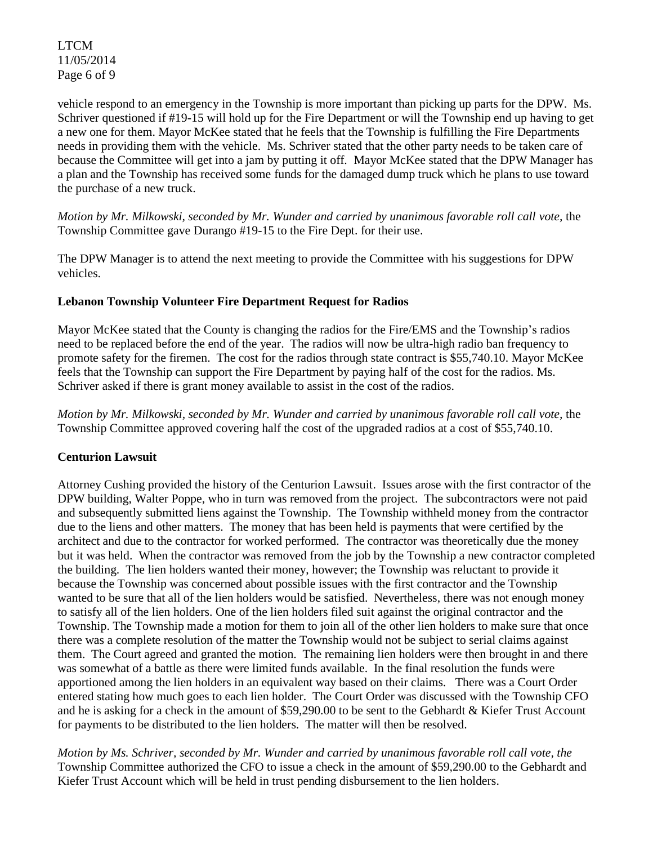LTCM 11/05/2014 Page 6 of 9

vehicle respond to an emergency in the Township is more important than picking up parts for the DPW. Ms. Schriver questioned if #19-15 will hold up for the Fire Department or will the Township end up having to get a new one for them. Mayor McKee stated that he feels that the Township is fulfilling the Fire Departments needs in providing them with the vehicle. Ms. Schriver stated that the other party needs to be taken care of because the Committee will get into a jam by putting it off. Mayor McKee stated that the DPW Manager has a plan and the Township has received some funds for the damaged dump truck which he plans to use toward the purchase of a new truck.

*Motion by Mr. Milkowski, seconded by Mr. Wunder and carried by unanimous favorable roll call vote, the* Township Committee gave Durango #19-15 to the Fire Dept. for their use.

The DPW Manager is to attend the next meeting to provide the Committee with his suggestions for DPW vehicles.

# **Lebanon Township Volunteer Fire Department Request for Radios**

Mayor McKee stated that the County is changing the radios for the Fire/EMS and the Township's radios need to be replaced before the end of the year. The radios will now be ultra-high radio ban frequency to promote safety for the firemen. The cost for the radios through state contract is \$55,740.10. Mayor McKee feels that the Township can support the Fire Department by paying half of the cost for the radios. Ms. Schriver asked if there is grant money available to assist in the cost of the radios.

*Motion by Mr. Milkowski, seconded by Mr. Wunder and carried by unanimous favorable roll call vote,* the Township Committee approved covering half the cost of the upgraded radios at a cost of \$55,740.10.

# **Centurion Lawsuit**

Attorney Cushing provided the history of the Centurion Lawsuit. Issues arose with the first contractor of the DPW building, Walter Poppe, who in turn was removed from the project. The subcontractors were not paid and subsequently submitted liens against the Township. The Township withheld money from the contractor due to the liens and other matters. The money that has been held is payments that were certified by the architect and due to the contractor for worked performed. The contractor was theoretically due the money but it was held. When the contractor was removed from the job by the Township a new contractor completed the building. The lien holders wanted their money, however; the Township was reluctant to provide it because the Township was concerned about possible issues with the first contractor and the Township wanted to be sure that all of the lien holders would be satisfied. Nevertheless, there was not enough money to satisfy all of the lien holders. One of the lien holders filed suit against the original contractor and the Township. The Township made a motion for them to join all of the other lien holders to make sure that once there was a complete resolution of the matter the Township would not be subject to serial claims against them. The Court agreed and granted the motion. The remaining lien holders were then brought in and there was somewhat of a battle as there were limited funds available. In the final resolution the funds were apportioned among the lien holders in an equivalent way based on their claims. There was a Court Order entered stating how much goes to each lien holder. The Court Order was discussed with the Township CFO and he is asking for a check in the amount of \$59,290.00 to be sent to the Gebhardt & Kiefer Trust Account for payments to be distributed to the lien holders. The matter will then be resolved.

*Motion by Ms. Schriver, seconded by Mr. Wunder and carried by unanimous favorable roll call vote, the* Township Committee authorized the CFO to issue a check in the amount of \$59,290.00 to the Gebhardt and Kiefer Trust Account which will be held in trust pending disbursement to the lien holders.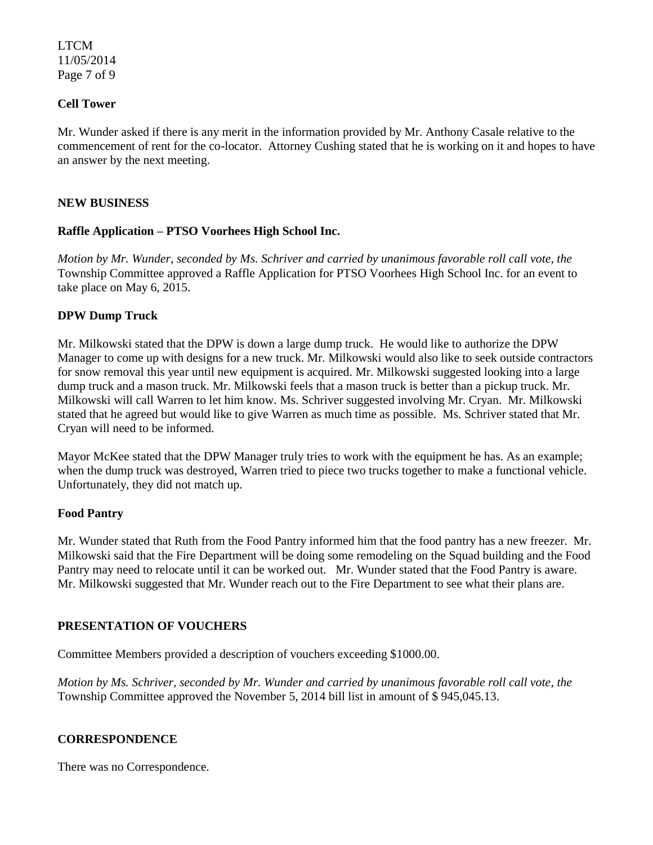LTCM 11/05/2014 Page 7 of 9

## **Cell Tower**

Mr. Wunder asked if there is any merit in the information provided by Mr. Anthony Casale relative to the commencement of rent for the co-locator. Attorney Cushing stated that he is working on it and hopes to have an answer by the next meeting.

## **NEW BUSINESS**

## **Raffle Application – PTSO Voorhees High School Inc.**

*Motion by Mr. Wunder, seconded by Ms. Schriver and carried by unanimous favorable roll call vote, the* Township Committee approved a Raffle Application for PTSO Voorhees High School Inc. for an event to take place on May 6, 2015.

## **DPW Dump Truck**

Mr. Milkowski stated that the DPW is down a large dump truck. He would like to authorize the DPW Manager to come up with designs for a new truck. Mr. Milkowski would also like to seek outside contractors for snow removal this year until new equipment is acquired. Mr. Milkowski suggested looking into a large dump truck and a mason truck. Mr. Milkowski feels that a mason truck is better than a pickup truck. Mr. Milkowski will call Warren to let him know. Ms. Schriver suggested involving Mr. Cryan. Mr. Milkowski stated that he agreed but would like to give Warren as much time as possible. Ms. Schriver stated that Mr. Cryan will need to be informed.

Mayor McKee stated that the DPW Manager truly tries to work with the equipment he has. As an example; when the dump truck was destroyed, Warren tried to piece two trucks together to make a functional vehicle. Unfortunately, they did not match up.

### **Food Pantry**

Mr. Wunder stated that Ruth from the Food Pantry informed him that the food pantry has a new freezer. Mr. Milkowski said that the Fire Department will be doing some remodeling on the Squad building and the Food Pantry may need to relocate until it can be worked out. Mr. Wunder stated that the Food Pantry is aware. Mr. Milkowski suggested that Mr. Wunder reach out to the Fire Department to see what their plans are.

# **PRESENTATION OF VOUCHERS**

Committee Members provided a description of vouchers exceeding \$1000.00.

*Motion by Ms. Schriver, seconded by Mr. Wunder and carried by unanimous favorable roll call vote, the* Township Committee approved the November 5, 2014 bill list in amount of \$ 945,045.13.

# **CORRESPONDENCE**

There was no Correspondence.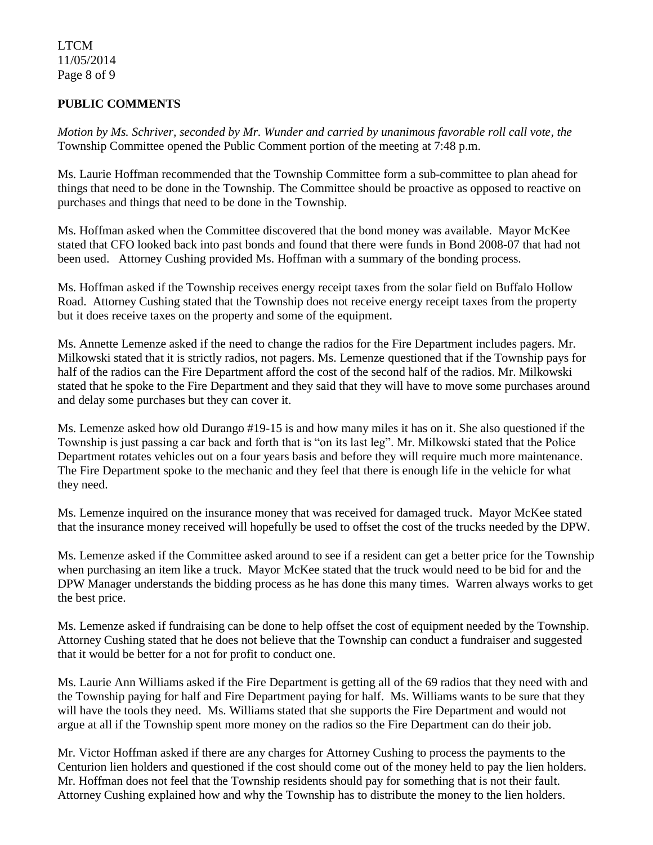LTCM 11/05/2014 Page 8 of 9

# **PUBLIC COMMENTS**

*Motion by Ms. Schriver, seconded by Mr. Wunder and carried by unanimous favorable roll call vote, the* Township Committee opened the Public Comment portion of the meeting at 7:48 p.m.

Ms. Laurie Hoffman recommended that the Township Committee form a sub-committee to plan ahead for things that need to be done in the Township. The Committee should be proactive as opposed to reactive on purchases and things that need to be done in the Township.

Ms. Hoffman asked when the Committee discovered that the bond money was available. Mayor McKee stated that CFO looked back into past bonds and found that there were funds in Bond 2008-07 that had not been used. Attorney Cushing provided Ms. Hoffman with a summary of the bonding process.

Ms. Hoffman asked if the Township receives energy receipt taxes from the solar field on Buffalo Hollow Road. Attorney Cushing stated that the Township does not receive energy receipt taxes from the property but it does receive taxes on the property and some of the equipment.

Ms. Annette Lemenze asked if the need to change the radios for the Fire Department includes pagers. Mr. Milkowski stated that it is strictly radios, not pagers. Ms. Lemenze questioned that if the Township pays for half of the radios can the Fire Department afford the cost of the second half of the radios. Mr. Milkowski stated that he spoke to the Fire Department and they said that they will have to move some purchases around and delay some purchases but they can cover it.

Ms. Lemenze asked how old Durango #19-15 is and how many miles it has on it. She also questioned if the Township is just passing a car back and forth that is "on its last leg". Mr. Milkowski stated that the Police Department rotates vehicles out on a four years basis and before they will require much more maintenance. The Fire Department spoke to the mechanic and they feel that there is enough life in the vehicle for what they need.

Ms. Lemenze inquired on the insurance money that was received for damaged truck. Mayor McKee stated that the insurance money received will hopefully be used to offset the cost of the trucks needed by the DPW.

Ms. Lemenze asked if the Committee asked around to see if a resident can get a better price for the Township when purchasing an item like a truck. Mayor McKee stated that the truck would need to be bid for and the DPW Manager understands the bidding process as he has done this many times. Warren always works to get the best price.

Ms. Lemenze asked if fundraising can be done to help offset the cost of equipment needed by the Township. Attorney Cushing stated that he does not believe that the Township can conduct a fundraiser and suggested that it would be better for a not for profit to conduct one.

Ms. Laurie Ann Williams asked if the Fire Department is getting all of the 69 radios that they need with and the Township paying for half and Fire Department paying for half. Ms. Williams wants to be sure that they will have the tools they need. Ms. Williams stated that she supports the Fire Department and would not argue at all if the Township spent more money on the radios so the Fire Department can do their job.

Mr. Victor Hoffman asked if there are any charges for Attorney Cushing to process the payments to the Centurion lien holders and questioned if the cost should come out of the money held to pay the lien holders. Mr. Hoffman does not feel that the Township residents should pay for something that is not their fault. Attorney Cushing explained how and why the Township has to distribute the money to the lien holders.